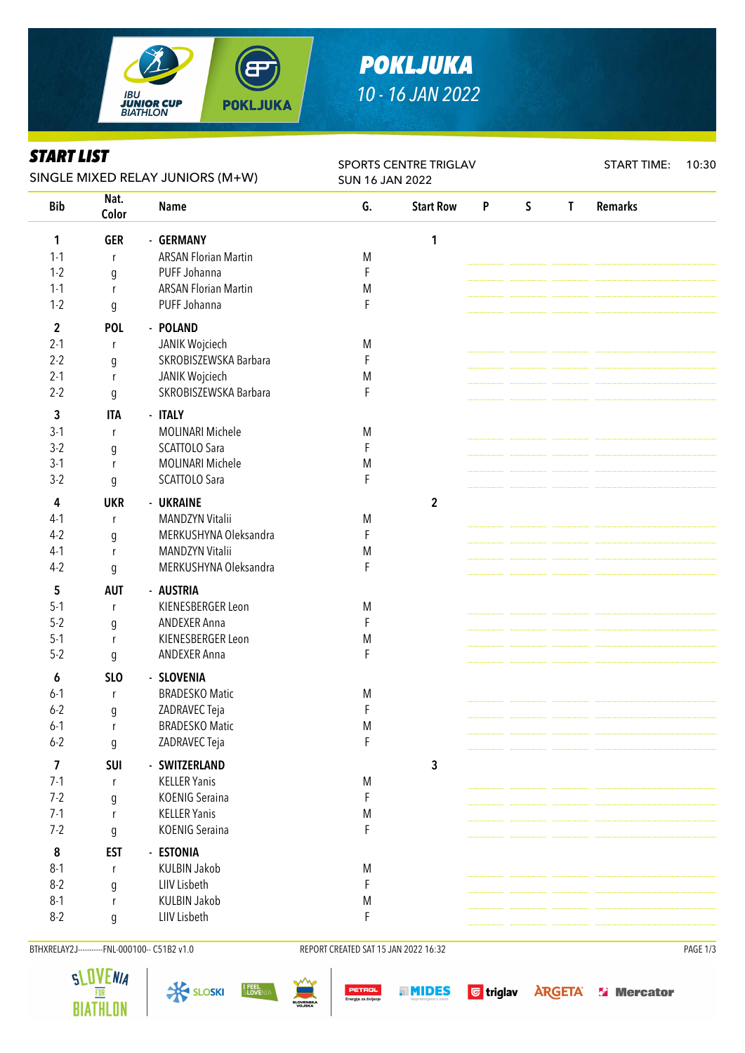

# *POKLJUKA 10 - 16 JAN 2022*

### *START LIST*

| ƏIAKI LIƏI<br>SINGLE MIXED RELAY JUNIORS (M+W) |                       |                                      | <b>SPORTS CENTRE TRIGLAV</b><br><b>SUN 16 JAN 2022</b> |                  |   |             |              | <b>START TIME:</b> | 10:30 |
|------------------------------------------------|-----------------------|--------------------------------------|--------------------------------------------------------|------------------|---|-------------|--------------|--------------------|-------|
| <b>Bib</b>                                     | Nat.<br>Color         | <b>Name</b>                          | G.                                                     | <b>Start Row</b> | P | $\mathsf S$ | $\mathbf{T}$ | <b>Remarks</b>     |       |
| 1                                              | <b>GER</b>            | - GERMANY                            |                                                        | 1                |   |             |              |                    |       |
| $1 - 1$                                        | r                     | <b>ARSAN Florian Martin</b>          | M                                                      |                  |   |             |              |                    |       |
| $1 - 2$                                        | g                     | PUFF Johanna                         | F                                                      |                  |   |             |              |                    |       |
| $1 - 1$                                        | $\mathsf{r}$          | <b>ARSAN Florian Martin</b>          | M                                                      |                  |   |             |              |                    |       |
| $1 - 2$                                        | g                     | PUFF Johanna                         | F                                                      |                  |   |             |              |                    |       |
| $\mathbf 2$                                    | <b>POL</b>            | - POLAND                             |                                                        |                  |   |             |              |                    |       |
| $2 - 1$                                        | r                     | JANIK Wojciech                       | M                                                      |                  |   |             |              |                    |       |
| $2 - 2$                                        | g                     | SKROBISZEWSKA Barbara                | F                                                      |                  |   |             |              |                    |       |
| $2 - 1$                                        | r                     | JANIK Wojciech                       | M                                                      |                  |   |             |              |                    |       |
| $2 - 2$                                        | $\boldsymbol{g}$      | SKROBISZEWSKA Barbara                | F                                                      |                  |   |             |              |                    |       |
| 3                                              | <b>ITA</b>            | - ITALY                              |                                                        |                  |   |             |              |                    |       |
| $3-1$                                          | r                     | <b>MOLINARI Michele</b>              | M                                                      |                  |   |             |              |                    |       |
| $3-2$                                          | g                     | SCATTOLO Sara                        | F                                                      |                  |   |             |              |                    |       |
| $3-1$                                          | r                     | <b>MOLINARI Michele</b>              | M                                                      |                  |   |             |              |                    |       |
| $3-2$                                          | g                     | SCATTOLO Sara                        | F                                                      |                  |   |             |              |                    |       |
| 4                                              | <b>UKR</b>            | - UKRAINE                            |                                                        | $\mathbf 2$      |   |             |              |                    |       |
| $4-1$                                          | r                     | <b>MANDZYN Vitalii</b>               | M                                                      |                  |   |             |              |                    |       |
| $4-2$                                          |                       | MERKUSHYNA Oleksandra                | F                                                      |                  |   |             |              |                    |       |
| $4-1$                                          | g<br>$\mathsf{r}$     | MANDZYN Vitalii                      | M                                                      |                  |   |             |              |                    |       |
| $4-2$                                          | g                     | MERKUSHYNA Oleksandra                | F                                                      |                  |   |             |              |                    |       |
| 5                                              | <b>AUT</b>            | - AUSTRIA                            |                                                        |                  |   |             |              |                    |       |
| $5-1$                                          | r                     | KIENESBERGER Leon                    | M                                                      |                  |   |             |              |                    |       |
| $5 - 2$                                        | g                     | <b>ANDEXER Anna</b>                  | F                                                      |                  |   |             |              |                    |       |
| $5 - 1$                                        | r                     | KIENESBERGER Leon                    | ${\sf M}$                                              |                  |   |             |              |                    |       |
| $5 - 2$                                        | $\boldsymbol{g}$      | <b>ANDEXER Anna</b>                  | F                                                      |                  |   |             |              |                    |       |
|                                                | SL <sub>O</sub>       | - SLOVENIA                           |                                                        |                  |   |             |              |                    |       |
| 6<br>$6 - 1$                                   |                       | <b>BRADESKO Matic</b>                | M                                                      |                  |   |             |              |                    |       |
| $6 - 2$                                        | r                     | ZADRAVEC Teja                        | F                                                      |                  |   |             |              |                    |       |
| $6 - 1$                                        | g<br>r                | <b>BRADESKO Matic</b>                | M                                                      |                  |   |             |              |                    |       |
| $6 - 2$                                        | g                     | ZADRAVEC Teja                        | $\mathsf F$                                            |                  |   |             |              |                    |       |
|                                                |                       |                                      |                                                        |                  |   |             |              |                    |       |
| 7<br>$7-1$                                     | <b>SUI</b>            | - SWITZERLAND<br><b>KELLER Yanis</b> |                                                        | $\mathbf{3}$     |   |             |              |                    |       |
| $7 - 2$                                        | r                     | <b>KOENIG Seraina</b>                | M<br>F                                                 |                  |   |             |              |                    |       |
| $7-1$                                          | $\boldsymbol{g}$<br>r | <b>KELLER Yanis</b>                  | M                                                      |                  |   |             |              |                    |       |
| $7 - 2$                                        | g                     | <b>KOENIG Seraina</b>                | F                                                      |                  |   |             |              |                    |       |
|                                                |                       |                                      |                                                        |                  |   |             |              |                    |       |
| 8                                              | <b>EST</b>            | - ESTONIA                            |                                                        |                  |   |             |              |                    |       |
| $8-1$                                          | r                     | <b>KULBIN Jakob</b>                  | M                                                      |                  |   |             |              |                    |       |
| $8 - 2$                                        | g                     | LIIV Lisbeth                         | F                                                      |                  |   |             |              |                    |       |
| $8-1$                                          | r                     | <b>KULBIN Jakob</b>                  | M                                                      |                  |   |             |              |                    |       |
| $8-2$                                          | g                     | LIIV Lisbeth                         | F                                                      |                  |   |             |              |                    |       |

BTHXRELAY2J----------FNL-000100-- C51B2 v1.0 REPORT CREATED SAT 15 JAN 2022 16:32 REPORT CREATED SAT 15 JAN 2022 16:32

















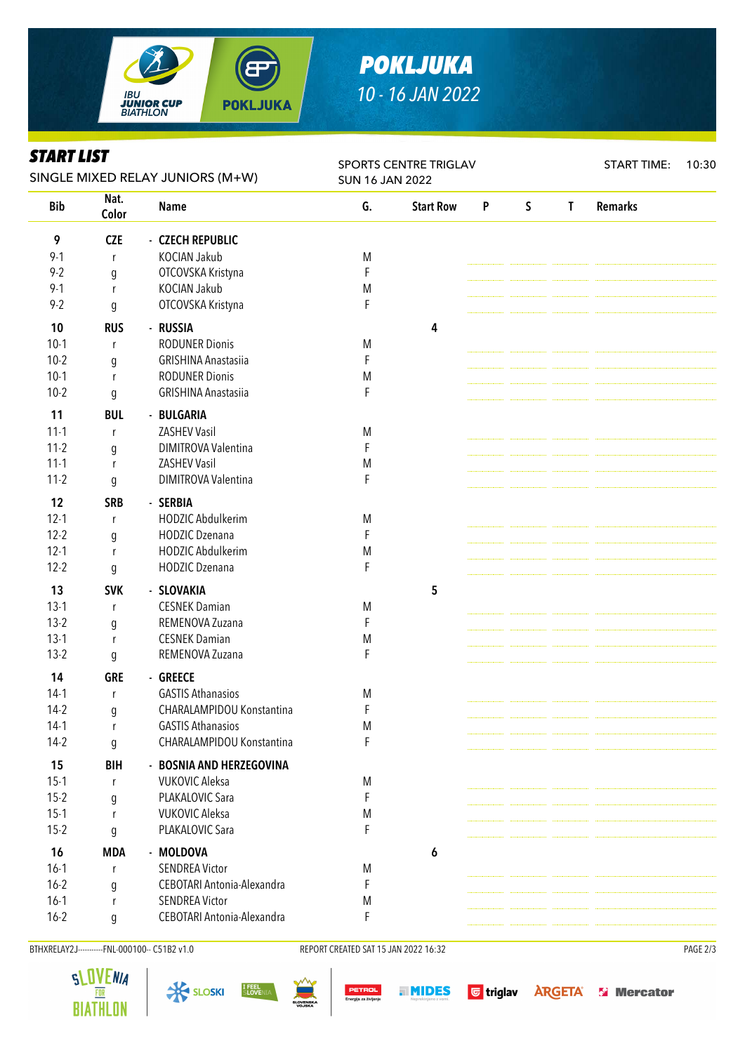

# *POKLJUKA 10 - 16 JAN 2022*

#### *START LIST*

| Siari lisi<br>SINGLE MIXED RELAY JUNIORS (M+W) |               |                                     | SPORTS CENTRE TRIGLAV<br><b>SUN 16 JAN 2022</b> |                  |   |             |              | <b>START TIME:</b> | 10:30 |
|------------------------------------------------|---------------|-------------------------------------|-------------------------------------------------|------------------|---|-------------|--------------|--------------------|-------|
| <b>Bib</b>                                     | Nat.<br>Color | <b>Name</b>                         | G.                                              | <b>Start Row</b> | P | $\mathsf S$ | $\mathsf{T}$ | <b>Remarks</b>     |       |
| 9                                              | <b>CZE</b>    | - CZECH REPUBLIC                    |                                                 |                  |   |             |              |                    |       |
| $9 - 1$                                        | $\mathsf{r}$  | KOCIAN Jakub                        | M                                               |                  |   |             |              |                    |       |
| $9 - 2$                                        | g             | OTCOVSKA Kristyna                   | F                                               |                  |   |             |              |                    |       |
| $9 - 1$                                        | $\mathsf{r}$  | KOCIAN Jakub                        | M                                               |                  |   |             |              |                    |       |
| $9 - 2$                                        | g             | OTCOVSKA Kristyna                   | F                                               |                  |   |             |              |                    |       |
| 10                                             | <b>RUS</b>    | - RUSSIA                            |                                                 | 4                |   |             |              |                    |       |
| $10-1$                                         | r             | <b>RODUNER Dionis</b>               | M                                               |                  |   |             |              |                    |       |
| $10-2$                                         | g             | <b>GRISHINA Anastasiia</b>          | F                                               |                  |   |             |              |                    |       |
| $10-1$                                         | r             | <b>RODUNER Dionis</b>               | M                                               |                  |   |             |              |                    |       |
| $10-2$                                         | g             | <b>GRISHINA Anastasiia</b>          | F                                               |                  |   |             |              |                    |       |
| 11                                             | <b>BUL</b>    | - BULGARIA                          |                                                 |                  |   |             |              |                    |       |
| $11 - 1$                                       | r             | <b>ZASHEV Vasil</b>                 | M                                               |                  |   |             |              |                    |       |
| $11-2$                                         | g             | DIMITROVA Valentina                 | F                                               |                  |   |             |              |                    |       |
| $11 - 1$                                       | r             | <b>ZASHEV Vasil</b>                 | M                                               |                  |   |             |              |                    |       |
| $11-2$                                         | g             | DIMITROVA Valentina                 | F                                               |                  |   |             |              |                    |       |
|                                                |               |                                     |                                                 |                  |   |             |              |                    |       |
| 12                                             | <b>SRB</b>    | - SERBIA                            |                                                 |                  |   |             |              |                    |       |
| $12 - 1$                                       | $\mathsf{r}$  | HODZIC Abdulkerim                   | M                                               |                  |   |             |              |                    |       |
| $12 - 2$                                       | g             | HODZIC Dzenana                      | F                                               |                  |   |             |              |                    |       |
| $12-1$                                         | $\mathsf{r}$  | HODZIC Abdulkerim<br>HODZIC Dzenana | M<br>F                                          |                  |   |             |              |                    |       |
| $12 - 2$                                       | g             |                                     |                                                 |                  |   |             |              |                    |       |
| 13                                             | <b>SVK</b>    | - SLOVAKIA                          |                                                 | 5                |   |             |              |                    |       |
| $13-1$                                         | r             | <b>CESNEK Damian</b>                | M                                               |                  |   |             |              |                    |       |
| $13-2$                                         | g             | REMENOVA Zuzana                     | F                                               |                  |   |             |              |                    |       |
| $13-1$                                         | r             | <b>CESNEK Damian</b>                | M                                               |                  |   |             |              |                    |       |
| $13-2$                                         | g             | REMENOVA Zuzana                     | F                                               |                  |   |             |              |                    |       |
| 14                                             | <b>GRE</b>    | - GREECE                            |                                                 |                  |   |             |              |                    |       |
| $14-1$                                         | $\mathsf{r}$  | <b>GASTIS Athanasios</b>            | M                                               |                  |   |             |              |                    |       |
| $14-2$                                         | q             | CHARALAMPIDOU Konstantina           | F                                               |                  |   |             |              |                    |       |
| $14-1$                                         | r             | <b>GASTIS Athanasios</b>            | M                                               |                  |   |             |              |                    |       |
| $14-2$                                         | g             | CHARALAMPIDOU Konstantina           | F                                               |                  |   |             |              |                    |       |
| 15                                             | <b>BIH</b>    | - BOSNIA AND HERZEGOVINA            |                                                 |                  |   |             |              |                    |       |
| $15-1$                                         | r             | <b>VUKOVIC Aleksa</b>               | M                                               |                  |   |             |              |                    |       |
| $15-2$                                         | g             | PLAKALOVIC Sara                     | F                                               |                  |   |             |              |                    |       |
| $15-1$                                         | $\mathsf{r}$  | <b>VUKOVIC Aleksa</b>               | M                                               |                  |   |             |              |                    |       |
| $15-2$                                         | g             | PLAKALOVIC Sara                     | F                                               |                  |   |             |              |                    |       |
| 16                                             | <b>MDA</b>    | - MOLDOVA                           |                                                 | 6                |   |             |              |                    |       |
| $16-1$                                         | r             | <b>SENDREA Victor</b>               | M                                               |                  |   |             |              |                    |       |
| $16 - 2$                                       | g             | CEBOTARI Antonia-Alexandra          | F                                               |                  |   |             |              |                    |       |
| $16-1$                                         | r             | <b>SENDREA Victor</b>               | M                                               |                  |   |             |              |                    |       |
| $16 - 2$                                       | g             | CEBOTARI Antonia-Alexandra          | F                                               |                  |   |             |              |                    |       |
|                                                |               |                                     |                                                 |                  |   |             |              |                    |       |

BTHXRELAY2J----------FNL-000100-- C51B2 v1.0 REPORT CREATED SAT 15 JAN 2022 16:32 REPORT CREATED SAT 15 JAN 2022 16:32